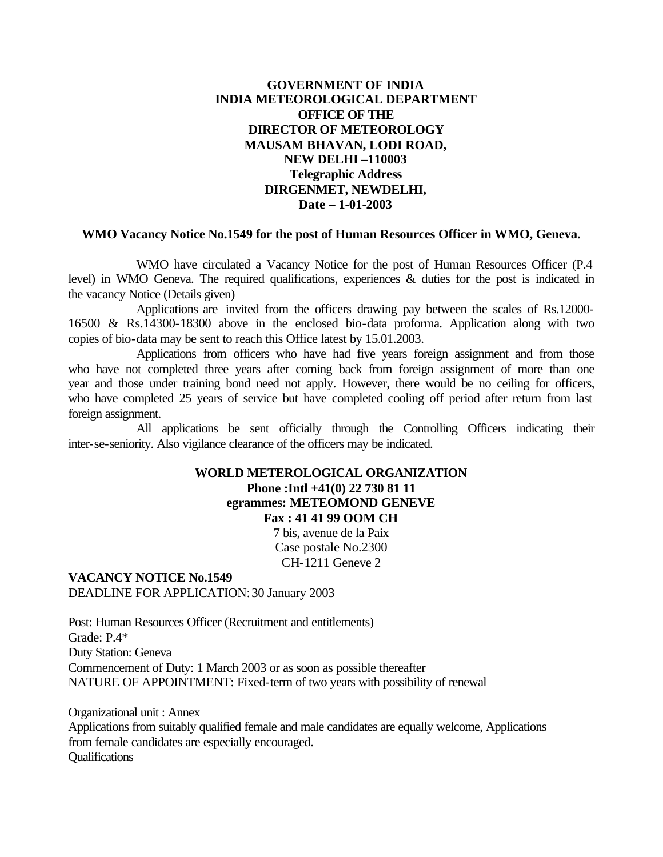### **GOVERNMENT OF INDIA INDIA METEOROLOGICAL DEPARTMENT OFFICE OF THE DIRECTOR OF METEOROLOGY MAUSAM BHAVAN, LODI ROAD, NEW DELHI –110003 Telegraphic Address DIRGENMET, NEWDELHI, Date – 1-01-2003**

#### **WMO Vacancy Notice No.1549 for the post of Human Resources Officer in WMO, Geneva.**

WMO have circulated a Vacancy Notice for the post of Human Resources Officer (P.4 level) in WMO Geneva. The required qualifications, experiences & duties for the post is indicated in the vacancy Notice (Details given)

Applications are invited from the officers drawing pay between the scales of Rs.12000- 16500 & Rs.14300-18300 above in the enclosed bio-data proforma. Application along with two copies of bio-data may be sent to reach this Office latest by 15.01.2003.

Applications from officers who have had five years foreign assignment and from those who have not completed three years after coming back from foreign assignment of more than one year and those under training bond need not apply. However, there would be no ceiling for officers, who have completed 25 years of service but have completed cooling off period after return from last foreign assignment.

All applications be sent officially through the Controlling Officers indicating their inter-se-seniority. Also vigilance clearance of the officers may be indicated.

#### **WORLD METEROLOGICAL ORGANIZATION Phone :Intl +41(0) 22 730 81 11 egrammes: METEOMOND GENEVE**

**Fax : 41 41 99 OOM CH**

7 bis, avenue de la Paix Case postale No.2300 CH-1211 Geneve 2

#### **VACANCY NOTICE No.1549** DEADLINE FOR APPLICATION: 30 January 2003

Post: Human Resources Officer (Recruitment and entitlements) Grade: P.4\* Duty Station: Geneva Commencement of Duty: 1 March 2003 or as soon as possible thereafter NATURE OF APPOINTMENT: Fixed-term of two years with possibility of renewal

Organizational unit : Annex Applications from suitably qualified female and male candidates are equally welcome, Applications from female candidates are especially encouraged. **Oualifications**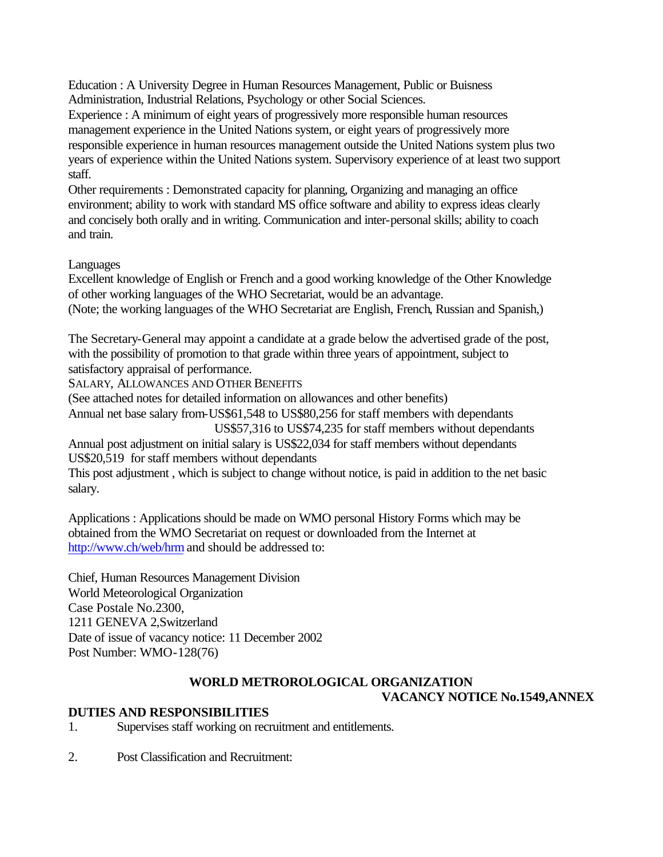Education : A University Degree in Human Resources Management, Public or Buisness Administration, Industrial Relations, Psychology or other Social Sciences.

Experience : A minimum of eight years of progressively more responsible human resources management experience in the United Nations system, or eight years of progressively more responsible experience in human resources management outside the United Nations system plus two years of experience within the United Nations system. Supervisory experience of at least two support staff.

Other requirements : Demonstrated capacity for planning, Organizing and managing an office environment; ability to work with standard MS office software and ability to express ideas clearly and concisely both orally and in writing. Communication and inter-personal skills; ability to coach and train.

## Languages

Excellent knowledge of English or French and a good working knowledge of the Other Knowledge of other working languages of the WHO Secretariat, would be an advantage. (Note; the working languages of the WHO Secretariat are English, French, Russian and Spanish,)

The Secretary-General may appoint a candidate at a grade below the advertised grade of the post, with the possibility of promotion to that grade within three years of appointment, subject to satisfactory appraisal of performance.

SALARY, ALLOWANCES AND OTHER BENEFITS

(See attached notes for detailed information on allowances and other benefits)

Annual net base salary from-US\$61,548 to US\$80,256 for staff members with dependants

US\$57,316 to US\$74,235 for staff members without dependants

Annual post adjustment on initial salary is US\$22,034 for staff members without dependants US\$20,519 for staff members without dependants

This post adjustment , which is subject to change without notice, is paid in addition to the net basic salary.

Applications : Applications should be made on WMO personal History Forms which may be obtained from the WMO Secretariat on request or downloaded from the Internet at http://www.ch/web/hrm and should be addressed to:

Chief, Human Resources Management Division World Meteorological Organization Case Postale No.2300, 1211 GENEVA 2,Switzerland Date of issue of vacancy notice: 11 December 2002 Post Number: WMO-128(76)

# **WORLD METROROLOGICAL ORGANIZATION**

**VACANCY NOTICE No.1549,ANNEX**

# **DUTIES AND RESPONSIBILITIES**

1. Supervises staff working on recruitment and entitlements.

2. Post Classification and Recruitment: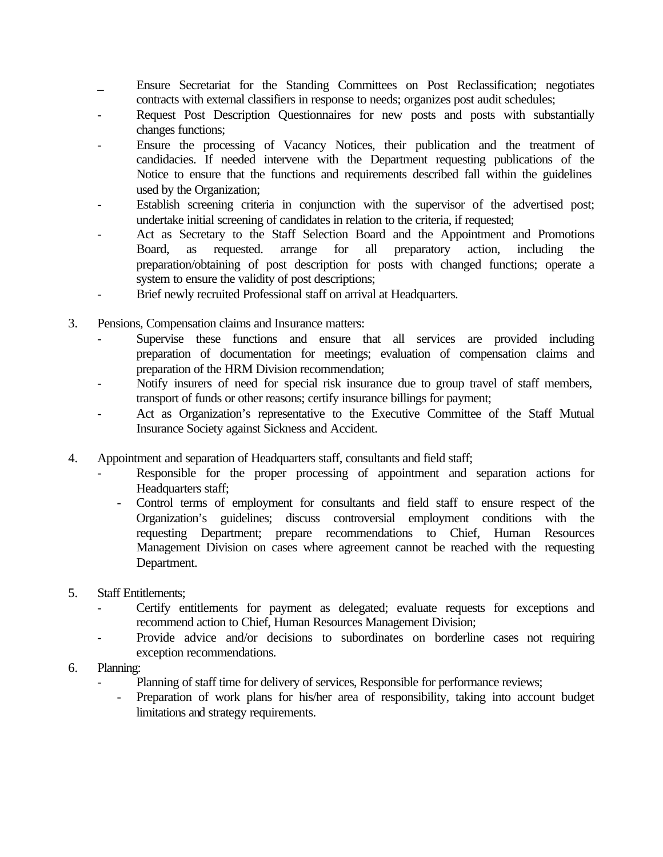- \_ Ensure Secretariat for the Standing Committees on Post Reclassification; negotiates contracts with external classifiers in response to needs; organizes post audit schedules;
- Request Post Description Questionnaires for new posts and posts with substantially changes functions;
- Ensure the processing of Vacancy Notices, their publication and the treatment of candidacies. If needed intervene with the Department requesting publications of the Notice to ensure that the functions and requirements described fall within the guidelines used by the Organization;
- Establish screening criteria in conjunction with the supervisor of the advertised post; undertake initial screening of candidates in relation to the criteria, if requested;
- Act as Secretary to the Staff Selection Board and the Appointment and Promotions Board, as requested. arrange for all preparatory action, including the preparation/obtaining of post description for posts with changed functions; operate a system to ensure the validity of post descriptions;
- Brief newly recruited Professional staff on arrival at Headquarters.
- 3. Pensions, Compensation claims and Insurance matters:
	- Supervise these functions and ensure that all services are provided including preparation of documentation for meetings; evaluation of compensation claims and preparation of the HRM Division recommendation;
	- Notify insurers of need for special risk insurance due to group travel of staff members, transport of funds or other reasons; certify insurance billings for payment;
	- Act as Organization's representative to the Executive Committee of the Staff Mutual Insurance Society against Sickness and Accident.
- 4. Appointment and separation of Headquarters staff, consultants and field staff;
	- Responsible for the proper processing of appointment and separation actions for Headquarters staff;
		- Control terms of employment for consultants and field staff to ensure respect of the Organization's guidelines; discuss controversial employment conditions with the requesting Department; prepare recommendations to Chief, Human Resources Management Division on cases where agreement cannot be reached with the requesting Department.
- 5. Staff Entitlements;
	- Certify entitlements for payment as delegated; evaluate requests for exceptions and recommend action to Chief, Human Resources Management Division;
	- Provide advice and/or decisions to subordinates on borderline cases not requiring exception recommendations.
- 6. Planning:
	- Planning of staff time for delivery of services, Responsible for performance reviews;
		- Preparation of work plans for his/her area of responsibility, taking into account budget limitations and strategy requirements.